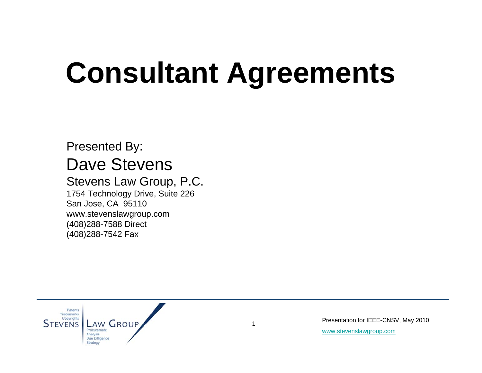# **Consultant Agreements**

#### Presented By: Dave Stevens

#### Stevens Law Group, P.C. 1754 Technology Drive, Suite 226

San Jose, CA 95110 www.stevenslawgroup.com (408)288-7588 Direct (408)288-7542 Fax

Patents **Trademarks** Copyrights AW GROUP **STEVENS** Procurement Analysi

Presentation for IEEE-CNSV, May 2010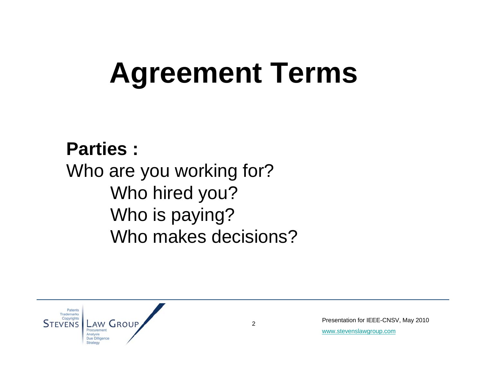## **Agreement Terms**

**Parties :** Who are you working for? Who hired you? Who is paying? Who makes decisions?



Presentation for IEEE-CNSV, May 2010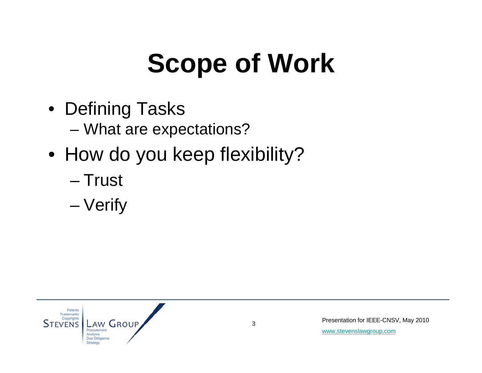### **Scope of Work**

- Defining Tasks – What are expectations?
- How do you keep flexibility?
	- Trust
	- Verify

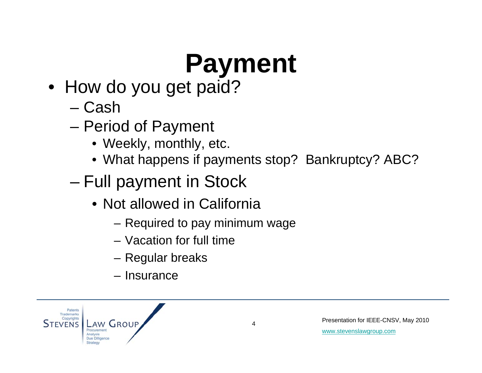# **Payment**

- How do you get paid?
	- Cash
	- Period of Payment
		- Weekly, monthly, etc.
		- What happens if payments stop? Bankruptcy? ABC?
	- Full payment in Stock
		- Not allowed in California
			- Required to pay minimum wage
			- Vacation for full time
			- Regular breaks
			- Insurance

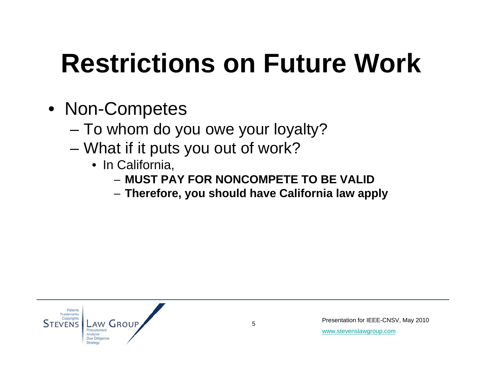#### **Restrictions on Future Work**

- Non-Competes
	- To whom do you owe your loyalty?
	- What if it puts you out of work?
		- In California,
			- **MUST PAY FOR NONCOMPETE TO BE VALID**
			- **Therefore, you should have California law apply**

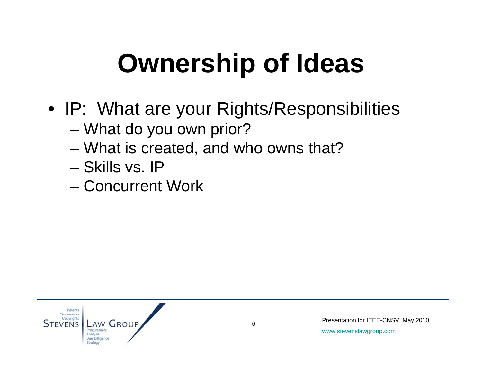### **Ownership of Ideas**

- IP: What are your Rights/Responsibilities
	- What do you own prior?
	- What is created, and who owns that?
	- Skills vs. IP
	- Concurrent Work

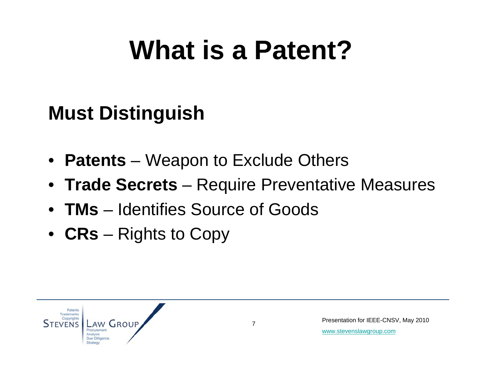#### **What is a Patent?**

#### **Must Distinguish**

- **Patents** Weapon to Exclude Others
- **Trade Secrets**  Require Preventative Measures
- **TMs**  Identifies Source of Goods
- **CRs**  Rights to Copy

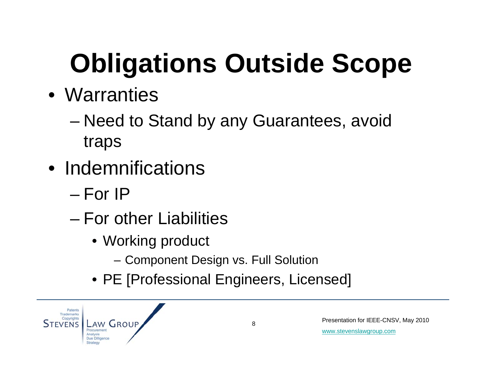# **Obligations Outside Scope**

#### • Warranties

- Need to Stand by any Guarantees, avoid traps
- Indemnifications
	- For IP
	- For other Liabilities
		- Working product
			- Component Design vs. Full Solution
		- PE [Professional Engineers, Licensed]

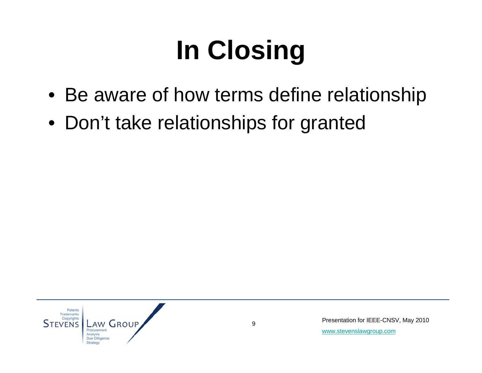# **In Closing**

- Be aware of how terms define relationship
- Don't take relationships for granted



Presentation for IEEE-CNSV, May 2010